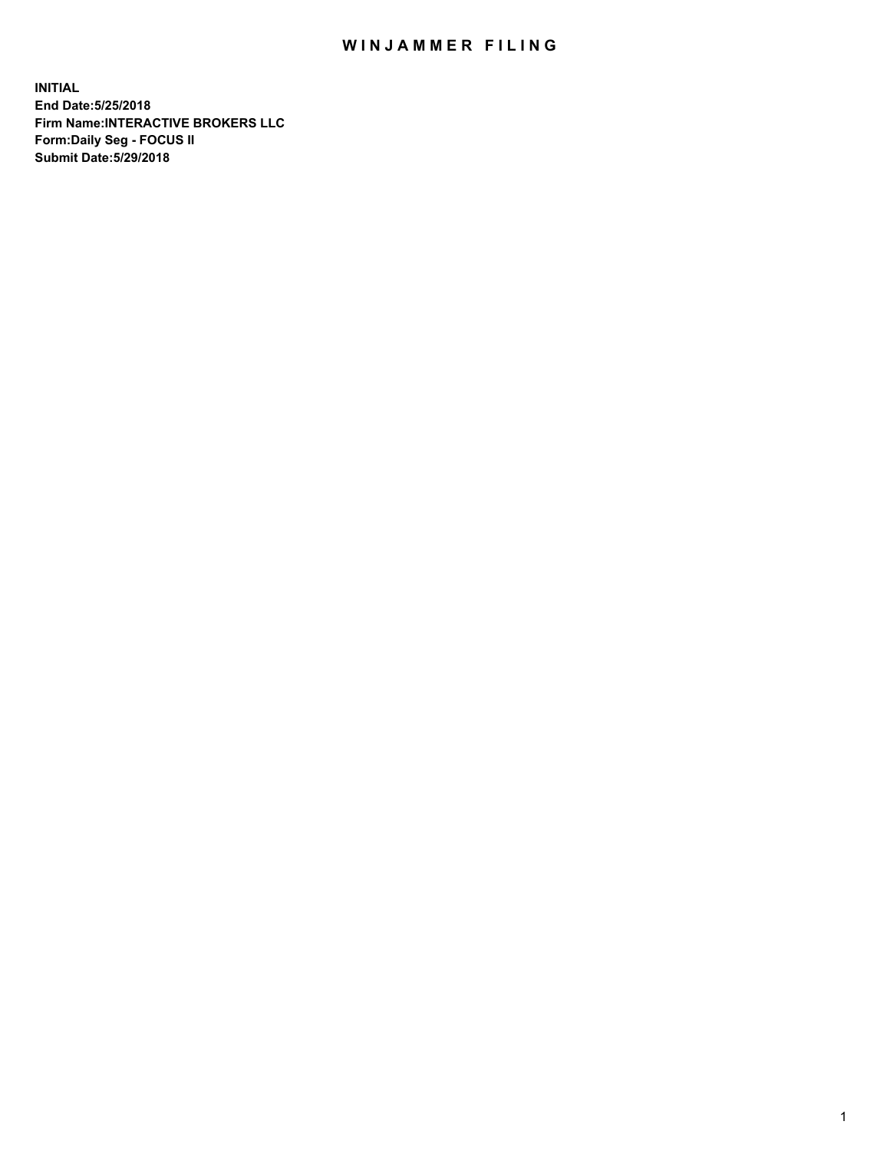## WIN JAMMER FILING

**INITIAL End Date:5/25/2018 Firm Name:INTERACTIVE BROKERS LLC Form:Daily Seg - FOCUS II Submit Date:5/29/2018**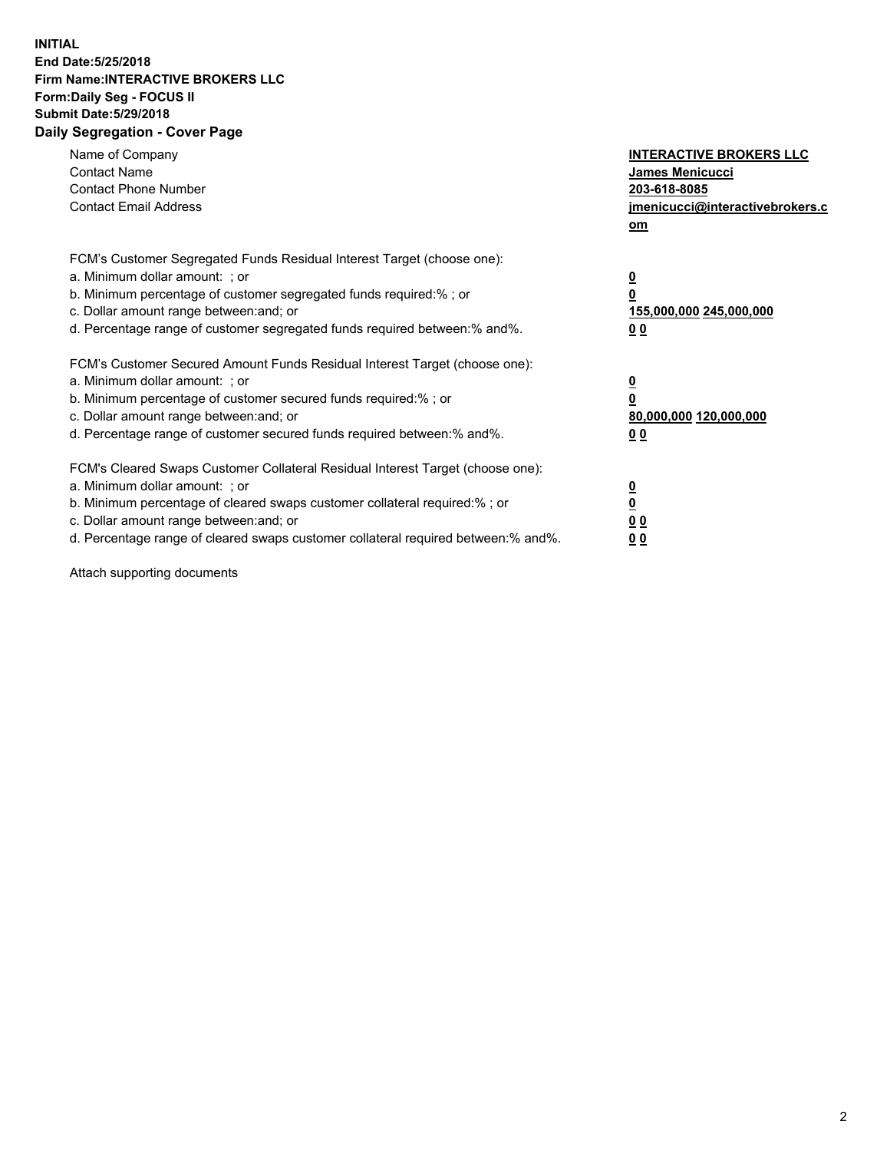## **INITIAL End Date:5/25/2018 Firm Name:INTERACTIVE BROKERS LLC Form:Daily Seg - FOCUS II Submit Date:5/29/2018 Daily Segregation - Cover Page**

| Name of Company<br><b>Contact Name</b><br><b>Contact Phone Number</b><br><b>Contact Email Address</b>                                                                                                                                                                                                                          | <b>INTERACTIVE BROKERS LLC</b><br>James Menicucci<br>203-618-8085<br>jmenicucci@interactivebrokers.c<br>om |
|--------------------------------------------------------------------------------------------------------------------------------------------------------------------------------------------------------------------------------------------------------------------------------------------------------------------------------|------------------------------------------------------------------------------------------------------------|
| FCM's Customer Segregated Funds Residual Interest Target (choose one):<br>a. Minimum dollar amount: ; or<br>b. Minimum percentage of customer segregated funds required:%; or<br>c. Dollar amount range between: and; or<br>d. Percentage range of customer segregated funds required between:% and%.                          | $\overline{\mathbf{0}}$<br>0<br>155,000,000 245,000,000<br>0 <sub>0</sub>                                  |
| FCM's Customer Secured Amount Funds Residual Interest Target (choose one):<br>a. Minimum dollar amount: ; or<br>b. Minimum percentage of customer secured funds required:%; or<br>c. Dollar amount range between: and; or<br>d. Percentage range of customer secured funds required between:% and%.                            | $\overline{\mathbf{0}}$<br>$\overline{\mathbf{0}}$<br>80,000,000 120,000,000<br>00                         |
| FCM's Cleared Swaps Customer Collateral Residual Interest Target (choose one):<br>a. Minimum dollar amount: ; or<br>b. Minimum percentage of cleared swaps customer collateral required:% ; or<br>c. Dollar amount range between: and; or<br>d. Percentage range of cleared swaps customer collateral required between:% and%. | $\overline{\mathbf{0}}$<br>$\overline{\mathbf{0}}$<br>0 <sub>0</sub><br><u>00</u>                          |

Attach supporting documents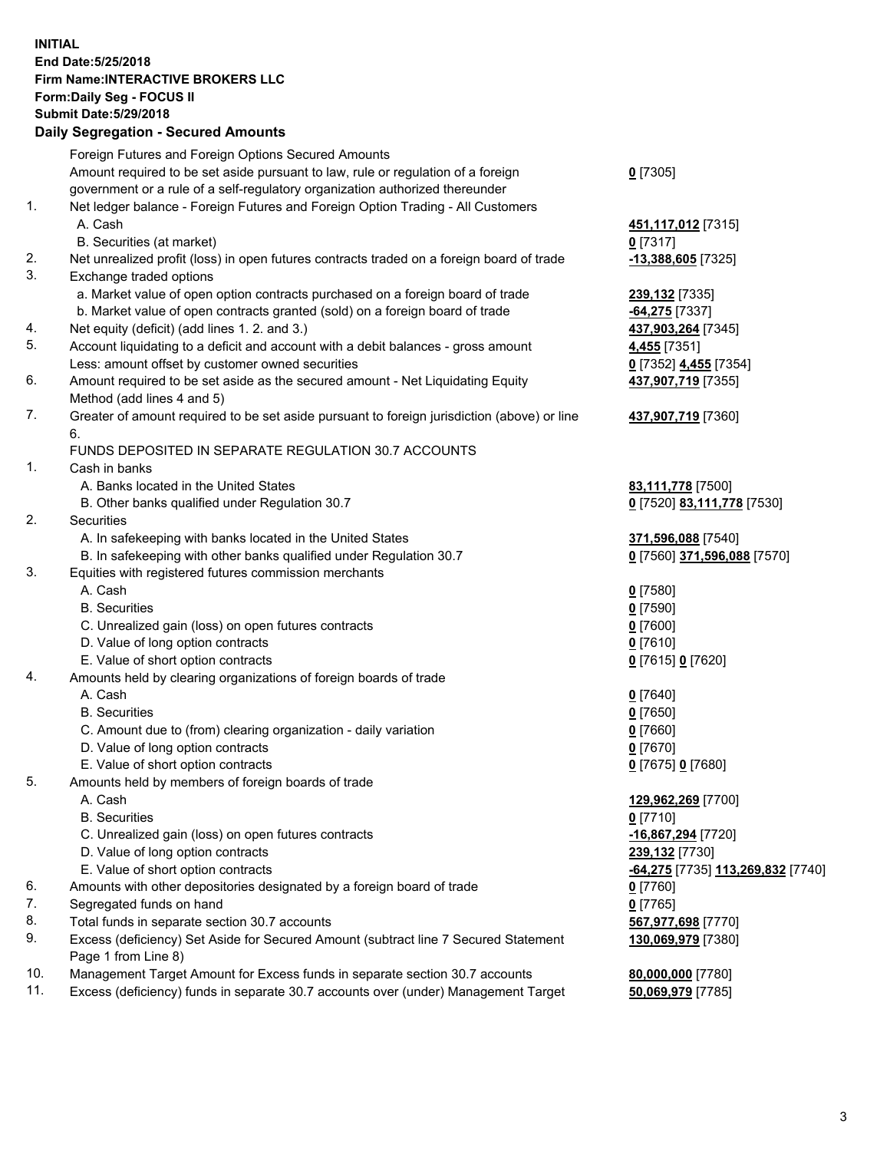## **INITIAL End Date:5/25/2018 Firm Name:INTERACTIVE BROKERS LLC Form:Daily Seg - FOCUS II Submit Date:5/29/2018 Daily Segregation - Secured Amounts**

|     | Daily Segregation - Secured Amounts                                                                        |                                   |
|-----|------------------------------------------------------------------------------------------------------------|-----------------------------------|
|     | Foreign Futures and Foreign Options Secured Amounts                                                        |                                   |
|     | Amount required to be set aside pursuant to law, rule or regulation of a foreign                           | $0$ [7305]                        |
|     | government or a rule of a self-regulatory organization authorized thereunder                               |                                   |
| 1.  | Net ledger balance - Foreign Futures and Foreign Option Trading - All Customers                            |                                   |
|     | A. Cash                                                                                                    | 451,117,012 [7315]                |
|     | B. Securities (at market)                                                                                  | $Q$ [7317]                        |
| 2.  | Net unrealized profit (loss) in open futures contracts traded on a foreign board of trade                  | 13,388,605 [7325]                 |
| 3.  | Exchange traded options                                                                                    |                                   |
|     | a. Market value of open option contracts purchased on a foreign board of trade                             | 239,132 [7335]                    |
|     | b. Market value of open contracts granted (sold) on a foreign board of trade                               | $-64,275$ [7337]                  |
| 4.  | Net equity (deficit) (add lines 1.2. and 3.)                                                               | 437,903,264 [7345]                |
| 5.  | Account liquidating to a deficit and account with a debit balances - gross amount                          | 4,455 [7351]                      |
|     | Less: amount offset by customer owned securities                                                           | 0 [7352] 4,455 [7354]             |
| 6.  | Amount required to be set aside as the secured amount - Net Liquidating Equity                             | 437,907,719 [7355]                |
|     | Method (add lines 4 and 5)                                                                                 |                                   |
| 7.  | Greater of amount required to be set aside pursuant to foreign jurisdiction (above) or line                | 437,907,719 [7360]                |
|     | 6.                                                                                                         |                                   |
|     | FUNDS DEPOSITED IN SEPARATE REGULATION 30.7 ACCOUNTS                                                       |                                   |
| 1.  | Cash in banks                                                                                              |                                   |
|     | A. Banks located in the United States                                                                      | 83,111,778 [7500]                 |
|     | B. Other banks qualified under Regulation 30.7                                                             | 0 [7520] 83,111,778 [7530]        |
| 2.  | Securities                                                                                                 |                                   |
|     | A. In safekeeping with banks located in the United States                                                  | 371,596,088 [7540]                |
|     | B. In safekeeping with other banks qualified under Regulation 30.7                                         | 0 [7560] 371,596,088 [7570]       |
| 3.  | Equities with registered futures commission merchants                                                      |                                   |
|     | A. Cash                                                                                                    | $0$ [7580]                        |
|     | <b>B.</b> Securities                                                                                       | $0$ [7590]                        |
|     | C. Unrealized gain (loss) on open futures contracts                                                        | $0$ [7600]                        |
|     | D. Value of long option contracts                                                                          | $0$ [7610]                        |
|     | E. Value of short option contracts                                                                         | 0 [7615] 0 [7620]                 |
| 4.  | Amounts held by clearing organizations of foreign boards of trade                                          |                                   |
|     | A. Cash                                                                                                    | $0$ [7640]                        |
|     | <b>B.</b> Securities                                                                                       | $0$ [7650]                        |
|     | C. Amount due to (from) clearing organization - daily variation                                            | $0$ [7660]                        |
|     | D. Value of long option contracts                                                                          | $0$ [7670]                        |
|     | E. Value of short option contracts                                                                         | 0 [7675] 0 [7680]                 |
| 5.  | Amounts held by members of foreign boards of trade                                                         |                                   |
|     | A. Cash                                                                                                    | 129,962,269 [7700]                |
|     | <b>B.</b> Securities                                                                                       | $0$ [7710]                        |
|     | C. Unrealized gain (loss) on open futures contracts                                                        | -16,867,294 [7720]                |
|     | D. Value of long option contracts                                                                          | 239,132 [7730]                    |
|     | E. Value of short option contracts                                                                         | -64,275 [7735] 113,269,832 [7740] |
| 6.  | Amounts with other depositories designated by a foreign board of trade                                     | $0$ [7760]                        |
| 7.  | Segregated funds on hand                                                                                   | $0$ [7765]                        |
| 8.  | Total funds in separate section 30.7 accounts                                                              | 567,977,698 [7770]                |
| 9.  | Excess (deficiency) Set Aside for Secured Amount (subtract line 7 Secured Statement<br>Page 1 from Line 8) | 130,069,979 [7380]                |
| 10. | Management Target Amount for Excess funds in separate section 30.7 accounts                                | 80,000,000 [7780]                 |
| 11. | Excess (deficiency) funds in separate 30.7 accounts over (under) Management Target                         | 50,069,979 [7785]                 |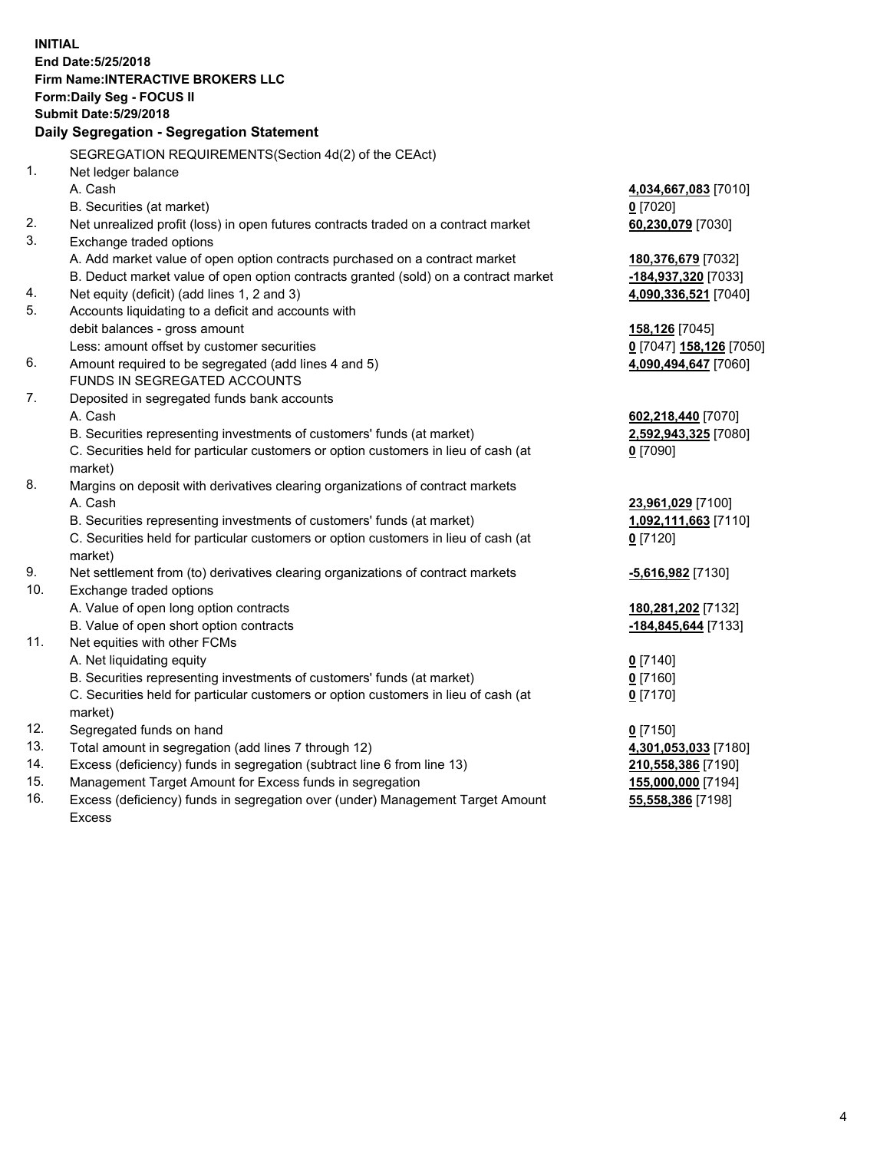**INITIAL End Date:5/25/2018 Firm Name:INTERACTIVE BROKERS LLC Form:Daily Seg - FOCUS II Submit Date:5/29/2018 Daily Segregation - Segregation Statement** SEGREGATION REQUIREMENTS(Section 4d(2) of the CEAct) 1. Net ledger balance A. Cash **4,034,667,083** [7010] B. Securities (at market) **0** [7020] 2. Net unrealized profit (loss) in open futures contracts traded on a contract market **60,230,079** [7030] 3. Exchange traded options A. Add market value of open option contracts purchased on a contract market **180,376,679** [7032] B. Deduct market value of open option contracts granted (sold) on a contract market **-184,937,320** [7033] 4. Net equity (deficit) (add lines 1, 2 and 3) **4,090,336,521** [7040] 5. Accounts liquidating to a deficit and accounts with debit balances - gross amount **158,126** [7045] Less: amount offset by customer securities **0** [7047] **158,126** [7050] 6. Amount required to be segregated (add lines 4 and 5) **4,090,494,647** [7060] FUNDS IN SEGREGATED ACCOUNTS 7. Deposited in segregated funds bank accounts A. Cash **602,218,440** [7070] B. Securities representing investments of customers' funds (at market) **2,592,943,325** [7080] C. Securities held for particular customers or option customers in lieu of cash (at market) **0** [7090] 8. Margins on deposit with derivatives clearing organizations of contract markets A. Cash **23,961,029** [7100] B. Securities representing investments of customers' funds (at market) **1,092,111,663** [7110] C. Securities held for particular customers or option customers in lieu of cash (at market) **0** [7120] 9. Net settlement from (to) derivatives clearing organizations of contract markets **-5,616,982** [7130] 10. Exchange traded options A. Value of open long option contracts **180,281,202** [7132] B. Value of open short option contracts **-184,845,644** [7133] 11. Net equities with other FCMs A. Net liquidating equity **0** [7140] B. Securities representing investments of customers' funds (at market) **0** [7160] C. Securities held for particular customers or option customers in lieu of cash (at market) **0** [7170] 12. Segregated funds on hand **0** [7150] 13. Total amount in segregation (add lines 7 through 12) **4,301,053,033** [7180] 14. Excess (deficiency) funds in segregation (subtract line 6 from line 13) **210,558,386** [7190] 15. Management Target Amount for Excess funds in segregation **155,000,000** [7194]

16. Excess (deficiency) funds in segregation over (under) Management Target Amount Excess

4

**55,558,386** [7198]